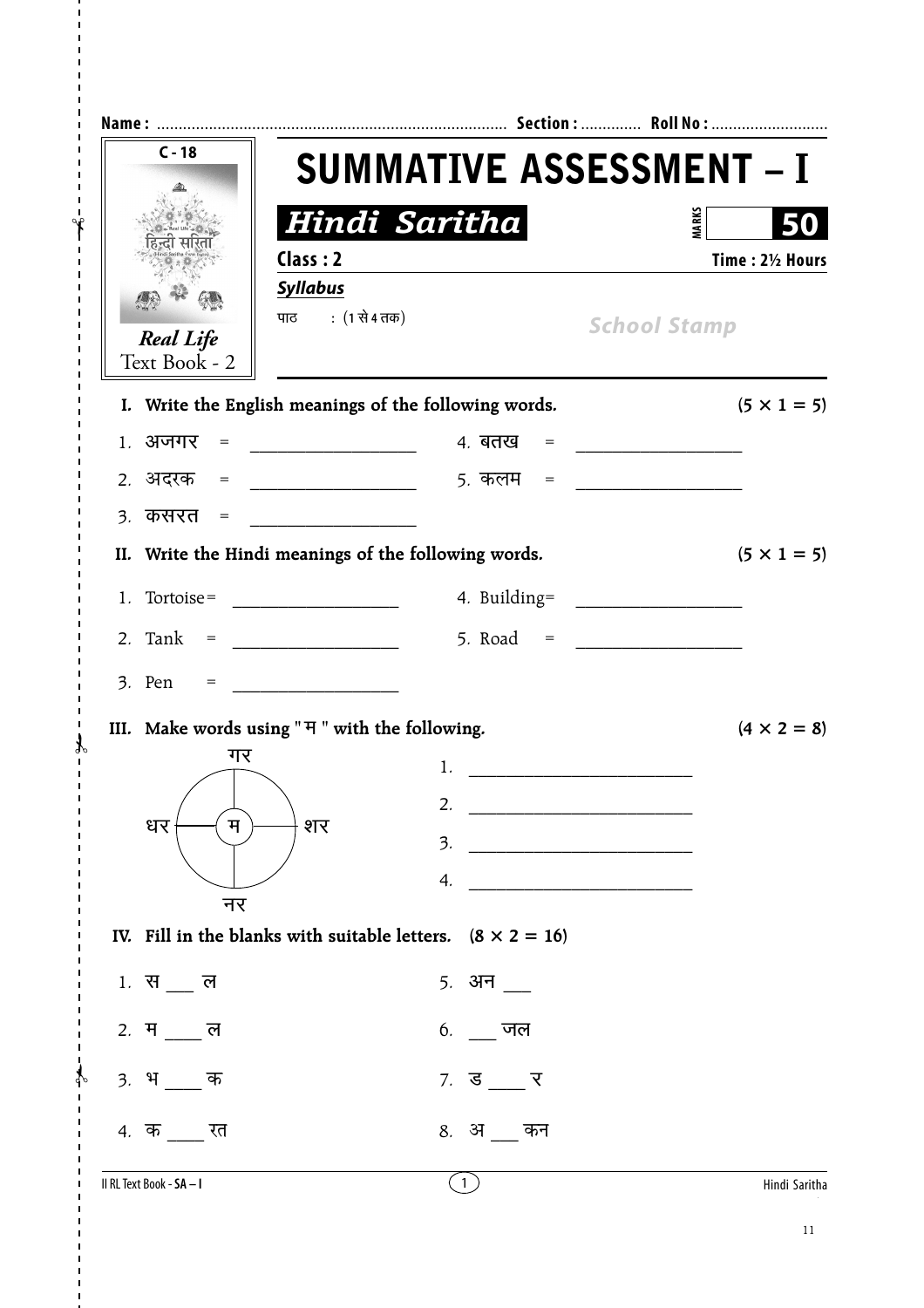| $C - 18$                                       | <b>SUMMATIVE ASSESSMENT - I</b>                                                                                                                                    |                                                          |                                                          |  |  |  |  |  |
|------------------------------------------------|--------------------------------------------------------------------------------------------------------------------------------------------------------------------|----------------------------------------------------------|----------------------------------------------------------|--|--|--|--|--|
|                                                | Hindi Saritha                                                                                                                                                      | <b>MARKS</b>                                             |                                                          |  |  |  |  |  |
|                                                | Class: 2                                                                                                                                                           |                                                          | Time: 21/2 Hours                                         |  |  |  |  |  |
|                                                | <b>Syllabus</b>                                                                                                                                                    |                                                          |                                                          |  |  |  |  |  |
| <b>Real Life</b>                               | पाठ : (1 से 4 तक)                                                                                                                                                  |                                                          | <b>School Stamp</b>                                      |  |  |  |  |  |
| Text Book - 2                                  | I. Write the English meanings of the following words.                                                                                                              |                                                          | $(5 \times 1 = 5)$                                       |  |  |  |  |  |
| १. अजगर<br>$\hspace*{0.4em} = \hspace*{0.4em}$ |                                                                                                                                                                    | 4. बतख<br>$=$                                            |                                                          |  |  |  |  |  |
| 2. अदरक =                                      |                                                                                                                                                                    | 5. कलम<br>$=$                                            |                                                          |  |  |  |  |  |
| <u> ३. कसरत =</u>                              |                                                                                                                                                                    |                                                          |                                                          |  |  |  |  |  |
|                                                | II. Write the Hindi meanings of the following words.                                                                                                               |                                                          | $(5 \times 1 = 5)$                                       |  |  |  |  |  |
|                                                | 1. Tortoise = $\frac{1}{\sqrt{1-\frac{1}{2}+\cdots+\frac{1}{2}+\cdots+\frac{1}{2}+\cdots+\frac{1}{2}+\cdots+\frac{1}{2}+\cdots+\cdots+\frac{1}{2}+\cdots+\cdots}}$ |                                                          |                                                          |  |  |  |  |  |
|                                                |                                                                                                                                                                    |                                                          |                                                          |  |  |  |  |  |
| 3. Pen<br>$=$                                  | <u> 1990 - Johann Barn, mars ann an t-</u>                                                                                                                         |                                                          |                                                          |  |  |  |  |  |
|                                                | III. Make words using "H" with the following.                                                                                                                      |                                                          | $(4 \times 2 = 8)$                                       |  |  |  |  |  |
| गर                                             |                                                                                                                                                                    | 1.                                                       | <u> 1980 - Johann John Stone, mars eta biztanleria (</u> |  |  |  |  |  |
|                                                |                                                                                                                                                                    | 2.                                                       |                                                          |  |  |  |  |  |
| धर<br>म                                        | शर                                                                                                                                                                 | 3.<br><u> 1989 - Johann Barn, mars eta bat eta bat e</u> |                                                          |  |  |  |  |  |
|                                                |                                                                                                                                                                    | 4.                                                       |                                                          |  |  |  |  |  |
| नर                                             | IV. Fill in the blanks with suitable letters. $(8 \times 2 = 16)$                                                                                                  |                                                          |                                                          |  |  |  |  |  |
| 1. स <b>ल</b>                                  |                                                                                                                                                                    | <u>5. अन</u>                                             |                                                          |  |  |  |  |  |
| 2. म ल                                         |                                                                                                                                                                    | 6 <i>.</i> जल                                            |                                                          |  |  |  |  |  |
| 3. भ<br>क                                      |                                                                                                                                                                    | $7.$ ड _ र                                               |                                                          |  |  |  |  |  |
| 4. क रत                                        |                                                                                                                                                                    | 8. अकन                                                   |                                                          |  |  |  |  |  |
| II RL Text Book - SA - I                       |                                                                                                                                                                    | (1)                                                      | Hindi Saritha                                            |  |  |  |  |  |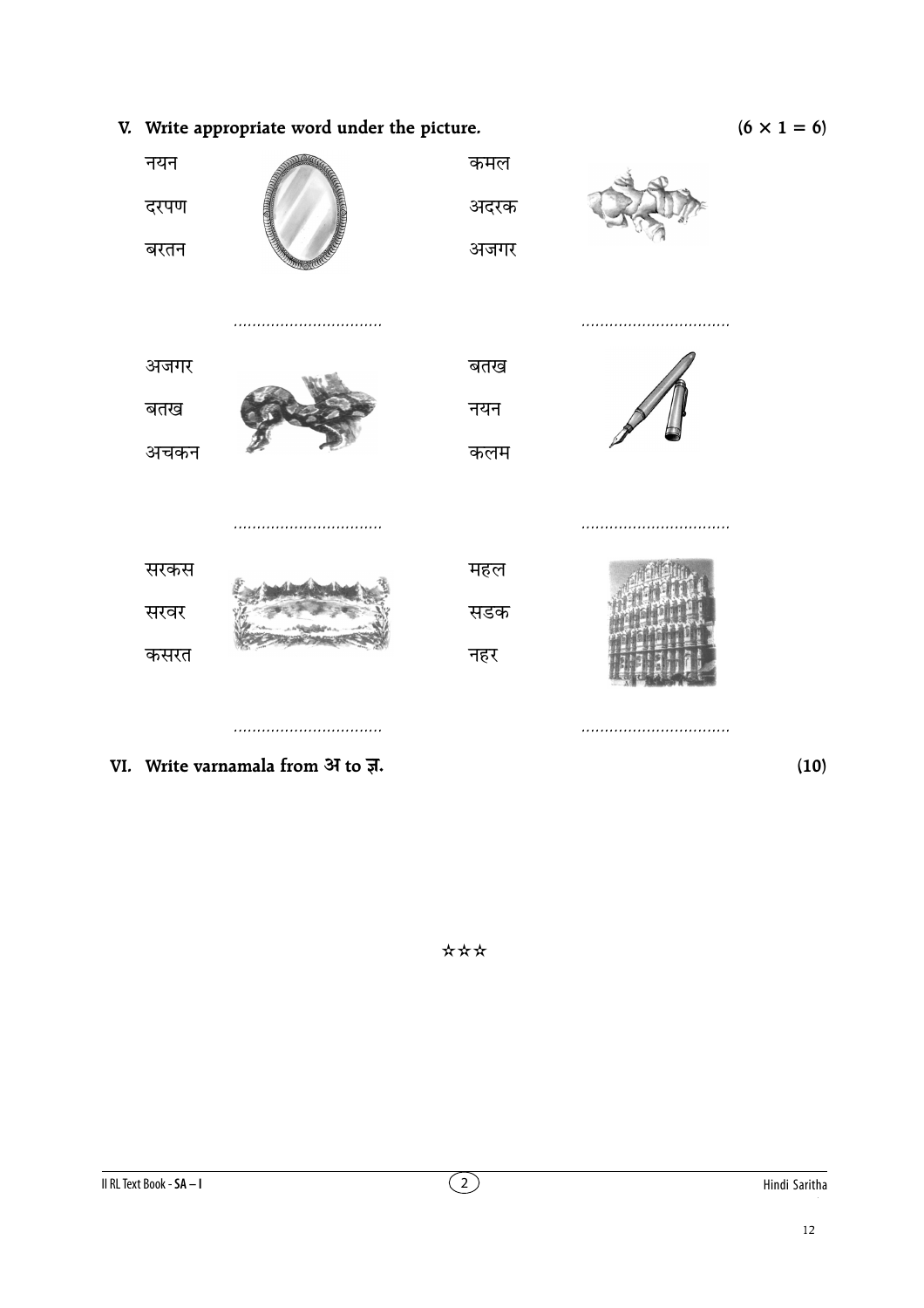$(6 \times 1 = 6)$ 



\*\*\*

 $(10)$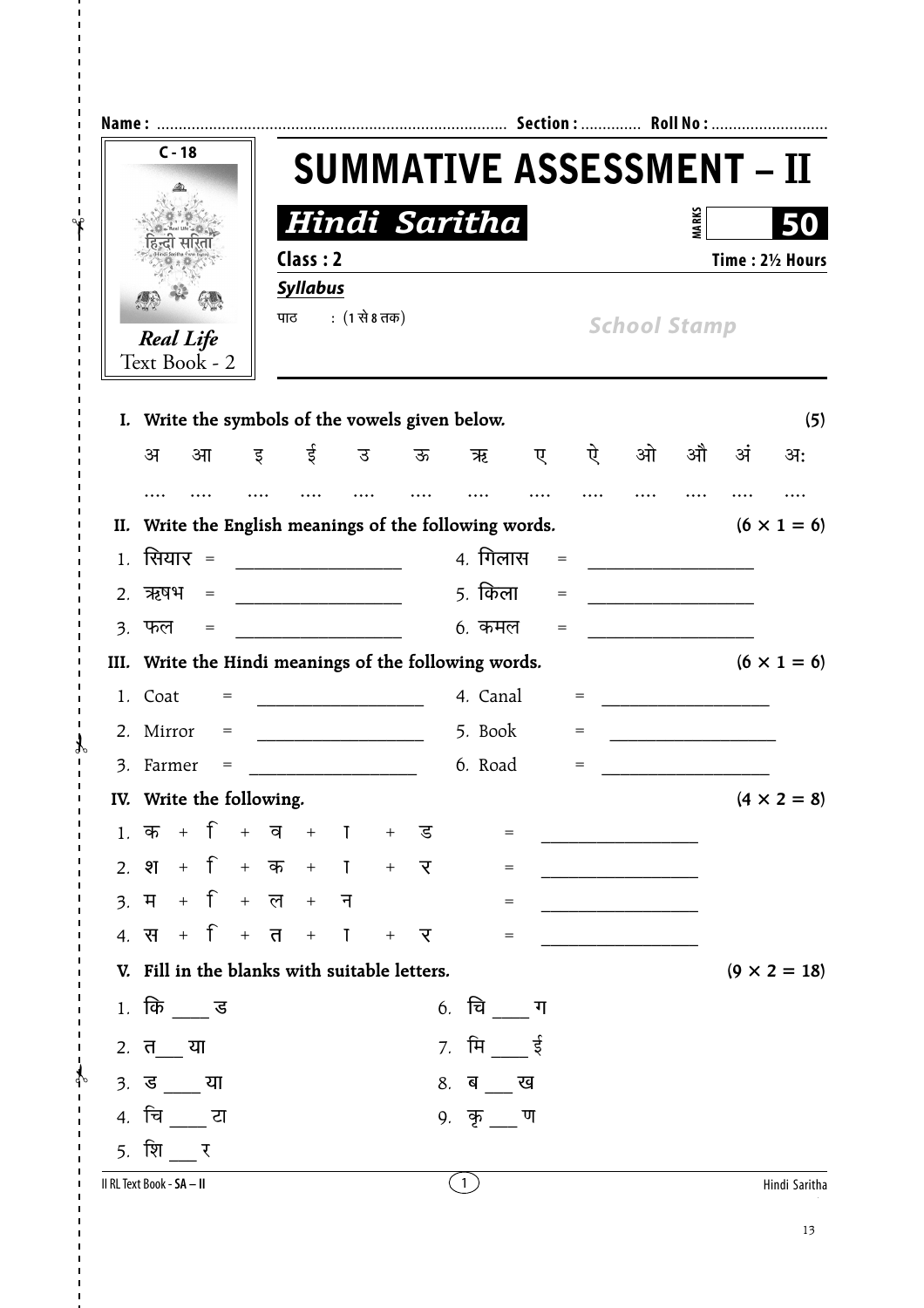| $C - 18$                                                    |                 | <b>SUMMATIVE ASSESSMENT - II</b> |     |                                   |                   |     |                     |              |    |                     |
|-------------------------------------------------------------|-----------------|----------------------------------|-----|-----------------------------------|-------------------|-----|---------------------|--------------|----|---------------------|
|                                                             |                 | Hindi Saritha                    |     |                                   |                   |     |                     | <b>MARKS</b> |    |                     |
|                                                             | Class: 2        |                                  |     |                                   |                   |     |                     |              |    | Time: 21/2 Hours    |
|                                                             | <b>Syllabus</b> |                                  |     |                                   |                   |     |                     |              |    |                     |
| <b>Real Life</b>                                            | पाठ             | : (1 से 8 तक)                    |     |                                   |                   |     | <b>School Stamp</b> |              |    |                     |
| Text Book - 2                                               |                 |                                  |     |                                   |                   |     |                     |              |    |                     |
| I. Write the symbols of the vowels given below.             |                 |                                  |     |                                   |                   |     |                     |              |    | (5)                 |
| अ<br>आ                                                      | ई<br>इ          | उ                                | ऊ   | ऋ                                 | ए                 | ऐ   | ओ                   | औ            | अं | अः                  |
|                                                             |                 |                                  |     |                                   |                   |     |                     |              |    |                     |
| II. Write the English meanings of the following words.      |                 |                                  |     |                                   |                   |     |                     |              |    | $(6 \times 1 = 6)$  |
| सियार =<br>1.                                               |                 |                                  |     | 4. गिलास                          |                   |     |                     |              |    |                     |
| ऋषभ<br>2.<br>$=$                                            |                 |                                  |     | 5. किला                           | $=$               |     |                     |              |    |                     |
| ३. फल<br>$\hspace*{0.4em} = \hspace*{0.4em}$                |                 |                                  |     | 6. कमल                            | $\!\!\!=\!\!\!\!$ |     |                     |              |    |                     |
| III. Write the Hindi meanings of the following words.       |                 |                                  |     |                                   |                   |     |                     |              |    | $(6 \times 1 = 6)$  |
| 1. Coat<br>$=$                                              |                 |                                  |     | 4. Canal                          |                   | $=$ |                     |              |    |                     |
| 2. Mirror<br>$=$                                            |                 |                                  |     | 5. Book                           |                   | $=$ |                     |              |    |                     |
| Farmer<br>3.<br>$=$                                         |                 |                                  |     | 6. Road                           |                   | $=$ |                     |              |    |                     |
| IV. Write the following.                                    |                 |                                  |     |                                   |                   |     |                     |              |    | $(4 \times 2 = 8)$  |
| 1. क $+$ + $+$ $=$ $+$ $+$ $+$ $=$                          |                 |                                  |     | $=$                               |                   |     |                     |              |    |                     |
| 2. श + + + $\overline{p}$ + $\overline{p}$ + $\overline{p}$ |                 |                                  |     | $=$                               |                   |     |                     |              |    |                     |
|                                                             |                 |                                  |     | $\hspace{1.6cm} = \hspace{1.6cm}$ |                   |     |                     |              |    |                     |
| 4. स $+$ f + त + T                                          |                 |                                  | + र | $\hspace{1.6cm} = \hspace{1.6cm}$ |                   |     |                     |              |    |                     |
| V. Fill in the blanks with suitable letters.                |                 |                                  |     |                                   |                   |     |                     |              |    | $(9 \times 2 = 18)$ |
| $1.$ कि $\equiv$ ड                                          |                 |                                  |     | 6. चि $\overline{\phantom{a}}$ ण  |                   |     |                     |              |    |                     |
| $2. \, \bar{\mathbf{d}}$ या                                 |                 |                                  |     | <i>7.</i> मि ई                    |                   |     |                     |              |    |                     |
| <u>3.</u> ड या                                              |                 |                                  |     | 8. ब ख                            |                   |     |                     |              |    |                     |
| 4. चिं टा                                                   |                 |                                  |     | 9. कृ ण                           |                   |     |                     |              |    |                     |
| <u>5. शिप</u> र                                             |                 |                                  |     |                                   |                   |     |                     |              |    |                     |
| II RL Text Book - SA - II                                   |                 |                                  |     | (1)                               |                   |     |                     |              |    | Hindi Saritha       |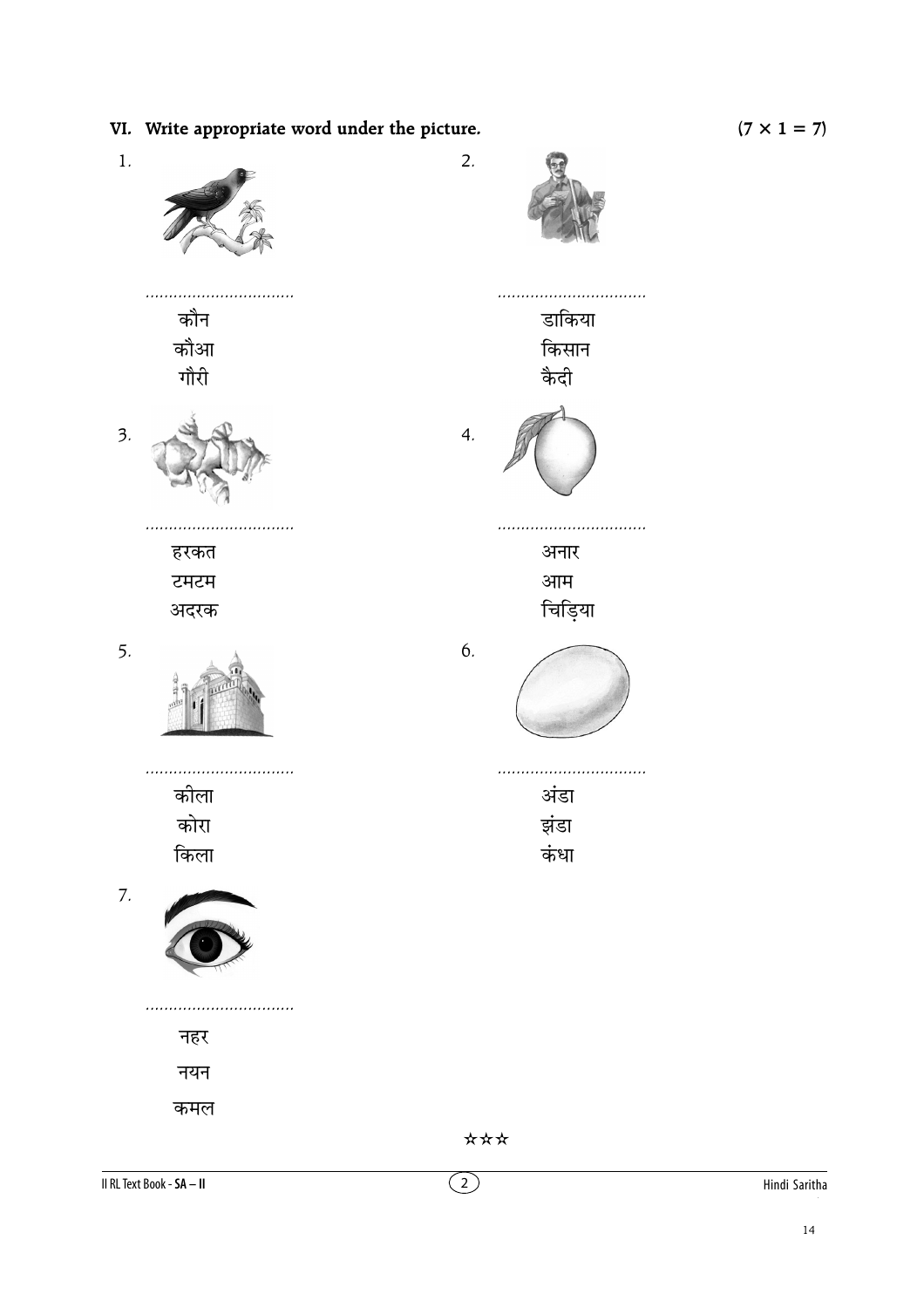$(7 \times 1 = 7)$ 

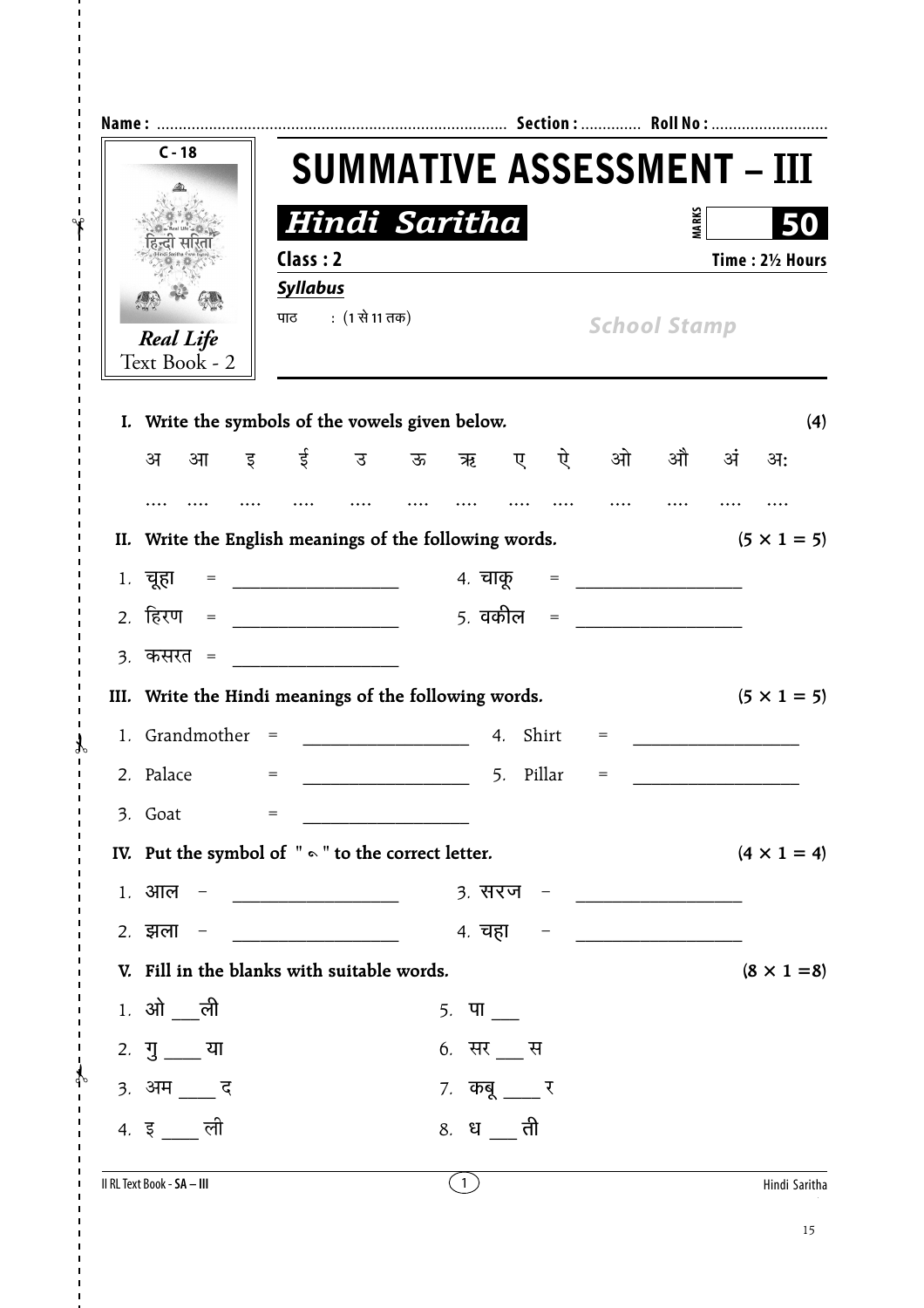| $C - 18$                                                 |                                                        |                                   |           |                             |              |                    |
|----------------------------------------------------------|--------------------------------------------------------|-----------------------------------|-----------|-----------------------------|--------------|--------------------|
|                                                          |                                                        | <b>SUMMATIVE ASSESSMENT - III</b> |           |                             |              |                    |
|                                                          |                                                        | Hindi Saritha                     |           |                             | <b>MARKS</b> |                    |
|                                                          | Class: 2                                               |                                   |           |                             |              | Time: 21/2 Hours   |
|                                                          | <b>Syllabus</b>                                        |                                   |           |                             |              |                    |
| <b>Real Life</b>                                         | पाठ : (1 से 11 तक)                                     |                                   |           | <b>School Stamp</b>         |              |                    |
| Text Book - 2                                            |                                                        |                                   |           |                             |              |                    |
|                                                          | I. Write the symbols of the vowels given below.        |                                   |           |                             |              | (4)                |
| अ<br>आ                                                   | इई उऊऋ                                                 |                                   |           | ए ऐ ओ                       | औ अं         | अः                 |
|                                                          |                                                        |                                   |           |                             |              |                    |
|                                                          | II. Write the English meanings of the following words. |                                   |           |                             |              | $(5 \times 1 = 5)$ |
| 1. चूहा                                                  | = ___________________________ 4. चाकू                  |                                   |           | = <u>__________________</u> |              |                    |
|                                                          |                                                        |                                   |           |                             |              |                    |
| <u>3. कसरत =</u>                                         |                                                        |                                   |           |                             |              |                    |
| III. Write the Hindi meanings of the following words.    |                                                        |                                   |           |                             |              | $(5 \times 1 = 5)$ |
|                                                          |                                                        |                                   |           |                             |              |                    |
| 2. Palace                                                | $=$                                                    |                                   | 5. Pillar | $=$                         |              |                    |
| 3. Goat                                                  | $=$                                                    |                                   |           |                             |              |                    |
| IV. Put the symbol of $" \circ "$ to the correct letter. |                                                        |                                   |           |                             |              | $(4 \times 1 = 4)$ |
| 1 <i>.</i> आल                                            | <u> 1980 - Andrea Albert III, politik ar filozof (</u> | 3. सरज – <u>______________</u> _  |           |                             |              |                    |
| 2. झला                                                   | <u> 1989 - Johann Barbara, martin a</u>                |                                   |           |                             |              |                    |
|                                                          | V. Fill in the blanks with suitable words.             |                                   |           |                             |              | $(8 \times 1 = 8)$ |
| $1.$ ओ __ली                                              |                                                        | 5. $\Pi$ __                       |           |                             |              |                    |
| 2. $\frac{1}{3}$ $\frac{1}{2}$ या                        |                                                        | 6. सर __ स                        |           |                             |              |                    |
| 3. अम ___ द                                              |                                                        | 7. कबू ___ र                      |           |                             |              |                    |
| 4. इ_ली                                                  |                                                        | 8. ध <sub>__</sub> ती             |           |                             |              |                    |
|                                                          |                                                        |                                   |           |                             |              |                    |

 $\mathbf{d}$ 

 $\overline{1}$  $\mathcal{A}$